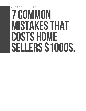# A free report **7 COMMON MISTAKES THAT** COSTS HOME SELLERS \$1000S.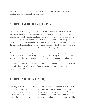We've rounded up the dos and don'ts that will help you collect thousands (if not hundreds of thousands!) for your place.

### 1. Don't … ask for too much money.

Yes, you know what you paid for the house. But that doesn't mean that it's still worth that amount—or that it's appreciated in value since you bought it. Your house is only worth what the market is willing to pay you. It doesn't matter what's in it. And it doesn't matter what your mortgage is. Your realtor has an eye on the market and knows what kind of prices homes—just like yours—are garnering now. Pricing your home too high will discourage interested parties from making an offer, and your property could sit for months, which isn't your goal.

What to do: Have a realtor give you a price on the home (or get a [comparative](http://www.learnvest.com/knowledge-center/how-does-comparative-market-analysis-work/)  [market analysis\)](http://www.learnvest.com/knowledge-center/how-does-comparative-market-analysis-work/), and—this is key—don't ignore them. Keep in mind that even if you've made pricey improvements to the home (granite countertops, stainless steel appliances), you may not get your money back if you're the only home on the block with such upgrades. If comparable kitchens in the neighborhood don't have similar upgrades, buyers aren't expecting fancy perks in yours, and may not be willing to pony up for the difference.

### 2. Don't … skip the marketing.

You may think that all you have to do is take one photo of the house, stick a "For Sale" sign in your yard and buyers will come pouring in the door. Au contraire. The only way to guarantee that you're going to get the highest price for the house is to use all of the marketing options available to you. This means Internet advertising, 30 pictures of your house, public open houses and even postcards. The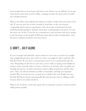more people who see your house, the better your chances are of selling it. In an age when buyers start their searches online, counting on drive-bys and word of mouth isn't enough anymore.

What to do: Don't wait until the last minute to notify a realtor that your house is for sale. If you can, give her at least a month of lead time, so she can research comparable homes and set a good price. Give them time to book their favorite professional photographer. And give them time to photograph your house on a day the sun is out. In fact, if you live in a seasonal area, and you know that you're going to put the house on the market in February, have photos taken in September, when the grass is still green and the trees have leaves.

## 3. Don't … go it alone

If you've bought and sold half a dozen homes of your own or you live in a soughtafter neighborhood where they sell in two days, you might be able to pull off a For Sale By Owner. If you aren't a seasoned pro, however, let a professional take the reins. Depending on the laws in your state, you're really accepting some liability by trying to sell it yourself, unless you have a friend or an attorney who can guide you through the process. A realtor also knows what's selling around you, and for what price. They can tell you whether an offer is reasonable, and help you negotiate smartly. Plus, you may not save as much as you think in the end. People who buy For Sale By Owner houses automatically discount the price they're willing to offer because there is no realtor involved.

What to do: Look for a real estate agent who is responsive and has a track record of selling homes quickly.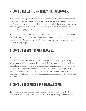# 4. Don't … neglect to fix things that are broken.

If sellers walk through your house and spot a handful of items that need immediate repair, they're going to wonder how well you've maintained the things they can't see. The entry way is a big tip-off. Got a loose hand rail on the steps, sagging screen door or jiggly door knob? Fix them. Clear your gutters, patch holes in your walls and address dripping faucets.

What to do: Do a walk-through of your own home, pretending that you're seeing it for the first time. What things have you always meant to fix? Now is the time. Spend a few weekends dealing with all of those niggling projects to get your home in show-worthy shape.

## 5. Don't … get emotionally involved.

Yes, it's your house. Yes, you sweated blood and tears to get it just the way you wanted it. But, no, that does not make it someone else's "perfect," particularly when you've made some unique decorating decisions. You want the space to look as neutral as possible, so buyers can envision themselves in the space. So even if those teal walls in the bedroom look knock-out great with your duvet, they probably won't match anyone else's things. Let go of the features you love, and make it a house most people could love—and that might mean painting all of the walls a soft, neutral color.

## 6. Don't … get offended by a lowball offer.

Just because someone came in with a really low bid is no reason to walk off in a huff. Now's your chance to negotiate. Buyers are trying to buy your house for the